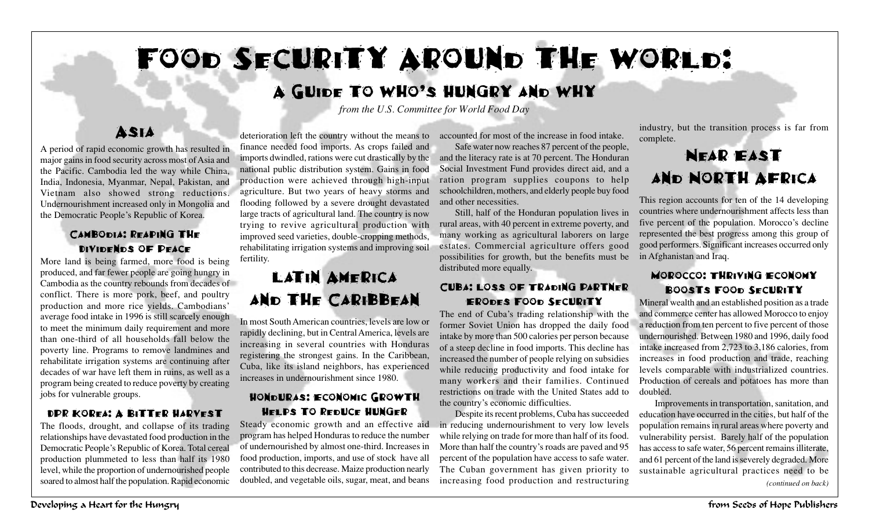# Food Security Around the World:

### A Guide to Who's Hungry and Why

*from the U.S. Committee for World Food Day*

#### **ASIA**

A period of rapid economic growth has resulted in major gains in food security across most of Asia and the Pacific. Cambodia led the way while China, India, Indonesia, Myanmar, Nepal, Pakistan, and Vietnam also showed strong reductions. Undernourishment increased only in Mongolia and the Democratic People's Republic of Korea.

#### Cambodia: Reaping the Dividends of Peace

More land is being farmed, more food is being produced, and far fewer people are going hungry in Cambodia as the country rebounds from decades of conflict. There is more pork, beef, and poultry production and more rice yields. Cambodians' average food intake in 1996 is still scarcely enough to meet the minimum daily requirement and more than one-third of all households fall below the poverty line. Programs to remove landmines and rehabilitate irrigation systems are continuing after decades of war have left them in ruins, as well as a program being created to reduce poverty by creating jobs for vulnerable groups.

#### DPR Korea: A Bitter Harvest

The floods, drought, and collapse of its trading relationships have devastated food production in the Democratic People's Republic of Korea. Total cereal production plummeted to less than half its 1980 level, while the proportion of undernourished people soared to almost half the population. Rapid economic

deterioration left the country without the means to accounted for most of the increase in food intake. finance needed food imports. As crops failed and imports dwindled, rations were cut drastically by the national public distribution system. Gains in food production were achieved through high-input agriculture. But two years of heavy storms and flooding followed by a severe drought devastated large tracts of agricultural land. The country is now trying to revive agricultural production with improved seed varieties, double-cropping methods, rehabilitating irrigation systems and improving soil fertility.

### LATIN AMERICA and the Caribbean

In most South American countries, levels are low or rapidly declining, but in Central America, levels are increasing in several countries with Honduras registering the strongest gains. In the Caribbean, Cuba, like its island neighbors, has experienced increases in undernourishment since 1980.

#### Honduras: Economic Growth Helps to Reduce Hunger

Steady economic growth and an effective aid program has helped Honduras to reduce the number of undernourished by almost one-third. Increases in food production, imports, and use of stock have all contributed to this decrease. Maize production nearly doubled, and vegetable oils, sugar, meat, and beans

Safe water now reaches 87 percent of the people, and the literacy rate is at 70 percent. The Honduran Social Investment Fund provides direct aid, and a ration program supplies coupons to help schoolchildren, mothers, and elderly people buy food and other necessities.

Still, half of the Honduran population lives in rural areas, with 40 percent in extreme poverty, and many working as agricultural laborers on large estates. Commercial agriculture offers good possibilities for growth, but the benefits must be distributed more equally.

#### Cuba: Loss of Trading Partner Erodes Food Security

The end of Cuba's trading relationship with the former Soviet Union has dropped the daily food intake by more than 500 calories per person because of a steep decline in food imports. This decline has increased the number of people relying on subsidies while reducing productivity and food intake for many workers and their families. Continued restrictions on trade with the United States add to the country's economic difficulties.

Despite its recent problems, Cuba has succeeded in reducing undernourishment to very low levels while relying on trade for more than half of its food. More than half the country's roads are paved and 95 percent of the population have access to safe water. The Cuban government has given priority to increasing food production and restructuring

industry, but the transition process is far from complete.

### NEAR EAST and North Africa

This region accounts for ten of the 14 developing countries where undernourishment affects less than five percent of the population. Morocco's decline represented the best progress among this group of good performers. Significant increases occurred only in Afghanistan and Iraq.

#### Morocco: Thriving Economy Boosts Food Security

Mineral wealth and an established position as a trade and commerce center has allowed Morocco to enjoy a reduction from ten percent to five percent of those undernourished. Between 1980 and 1996, daily food intake increased from 2,723 to 3,186 calories, from increases in food production and trade, reaching levels comparable with industrialized countries. Production of cereals and potatoes has more than doubled.

*(continued on back)* Improvements in transportation, sanitation, and education have occurred in the cities, but half of the population remains in rural areas where poverty and vulnerability persist. Barely half of the population has access to safe water, 56 percent remains illiterate, and 61 percent of the land is severely degraded. More sustainable agricultural practices need to be